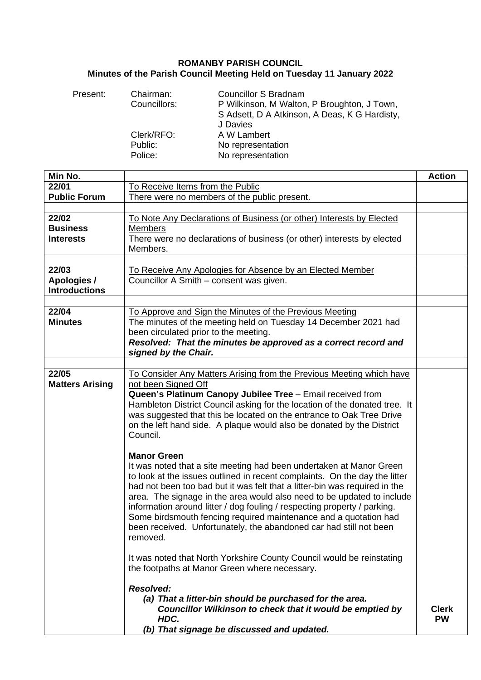## **ROMANBY PARISH COUNCIL Minutes of the Parish Council Meeting Held on Tuesday 11 January 2022**

| Present: | Chairman:<br>Councillors: | <b>Councillor S Bradnam</b><br>P Wilkinson, M Walton, P Broughton, J Town,<br>S Adsett, D A Atkinson, A Deas, K G Hardisty,<br>J Davies |
|----------|---------------------------|-----------------------------------------------------------------------------------------------------------------------------------------|
|          | Clerk/RFO:                | A W Lambert                                                                                                                             |
|          | Public:                   | No representation                                                                                                                       |
|          | Police:                   | No representation                                                                                                                       |

| Min No.                                             |                                                                                                                                                                                                                                                                                                                                                                                                                                                                                                                                                                   | <b>Action</b>             |
|-----------------------------------------------------|-------------------------------------------------------------------------------------------------------------------------------------------------------------------------------------------------------------------------------------------------------------------------------------------------------------------------------------------------------------------------------------------------------------------------------------------------------------------------------------------------------------------------------------------------------------------|---------------------------|
| 22/01                                               | To Receive Items from the Public                                                                                                                                                                                                                                                                                                                                                                                                                                                                                                                                  |                           |
| <b>Public Forum</b>                                 | There were no members of the public present.                                                                                                                                                                                                                                                                                                                                                                                                                                                                                                                      |                           |
|                                                     |                                                                                                                                                                                                                                                                                                                                                                                                                                                                                                                                                                   |                           |
| 22/02<br><b>Business</b><br><b>Interests</b>        | To Note Any Declarations of Business (or other) Interests by Elected<br><b>Members</b><br>There were no declarations of business (or other) interests by elected                                                                                                                                                                                                                                                                                                                                                                                                  |                           |
|                                                     | Members.                                                                                                                                                                                                                                                                                                                                                                                                                                                                                                                                                          |                           |
|                                                     |                                                                                                                                                                                                                                                                                                                                                                                                                                                                                                                                                                   |                           |
| 22/03<br><b>Apologies /</b><br><b>Introductions</b> | To Receive Any Apologies for Absence by an Elected Member<br>Councillor A Smith - consent was given.                                                                                                                                                                                                                                                                                                                                                                                                                                                              |                           |
|                                                     |                                                                                                                                                                                                                                                                                                                                                                                                                                                                                                                                                                   |                           |
| 22/04<br><b>Minutes</b>                             | To Approve and Sign the Minutes of the Previous Meeting<br>The minutes of the meeting held on Tuesday 14 December 2021 had<br>been circulated prior to the meeting.<br>Resolved: That the minutes be approved as a correct record and<br>signed by the Chair.                                                                                                                                                                                                                                                                                                     |                           |
|                                                     |                                                                                                                                                                                                                                                                                                                                                                                                                                                                                                                                                                   |                           |
| 22/05<br><b>Matters Arising</b>                     | To Consider Any Matters Arising from the Previous Meeting which have<br>not been Signed Off<br>Queen's Platinum Canopy Jubilee Tree - Email received from<br>Hambleton District Council asking for the location of the donated tree. It<br>was suggested that this be located on the entrance to Oak Tree Drive<br>on the left hand side. A plaque would also be donated by the District<br>Council.                                                                                                                                                              |                           |
|                                                     | <b>Manor Green</b><br>It was noted that a site meeting had been undertaken at Manor Green<br>to look at the issues outlined in recent complaints. On the day the litter<br>had not been too bad but it was felt that a litter-bin was required in the<br>area. The signage in the area would also need to be updated to include<br>information around litter / dog fouling / respecting property / parking.<br>Some birdsmouth fencing required maintenance and a quotation had<br>been received. Unfortunately, the abandoned car had still not been<br>removed. |                           |
|                                                     | It was noted that North Yorkshire County Council would be reinstating<br>the footpaths at Manor Green where necessary.                                                                                                                                                                                                                                                                                                                                                                                                                                            |                           |
|                                                     | <b>Resolved:</b><br>(a) That a litter-bin should be purchased for the area.<br>Councillor Wilkinson to check that it would be emptied by<br>HDC.<br>(b) That signage be discussed and updated.                                                                                                                                                                                                                                                                                                                                                                    | <b>Clerk</b><br><b>PW</b> |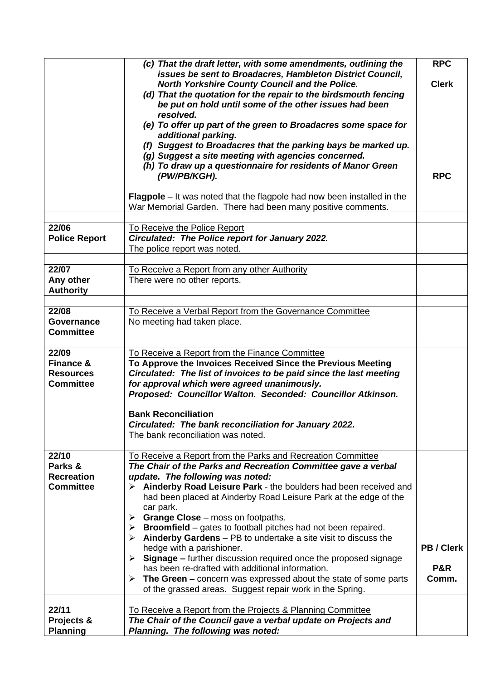|                                                                       | (c) That the draft letter, with some amendments, outlining the<br>issues be sent to Broadacres, Hambleton District Council,<br>North Yorkshire County Council and the Police.<br>(d) That the quotation for the repair to the birdsmouth fencing<br>be put on hold until some of the other issues had been<br>resolved.<br>(e) To offer up part of the green to Broadacres some space for<br>additional parking.<br>(f) Suggest to Broadacres that the parking bays be marked up.<br>(g) Suggest a site meeting with agencies concerned.<br>(h) To draw up a questionnaire for residents of Manor Green<br>(PW/PB/KGH).                                                                                                                                                                | <b>RPC</b><br><b>Clerk</b><br><b>RPC</b> |
|-----------------------------------------------------------------------|----------------------------------------------------------------------------------------------------------------------------------------------------------------------------------------------------------------------------------------------------------------------------------------------------------------------------------------------------------------------------------------------------------------------------------------------------------------------------------------------------------------------------------------------------------------------------------------------------------------------------------------------------------------------------------------------------------------------------------------------------------------------------------------|------------------------------------------|
|                                                                       | <b>Flagpole</b> – It was noted that the flagpole had now been installed in the<br>War Memorial Garden. There had been many positive comments.                                                                                                                                                                                                                                                                                                                                                                                                                                                                                                                                                                                                                                          |                                          |
| 22/06<br><b>Police Report</b>                                         | To Receive the Police Report<br>Circulated: The Police report for January 2022.                                                                                                                                                                                                                                                                                                                                                                                                                                                                                                                                                                                                                                                                                                        |                                          |
|                                                                       | The police report was noted.                                                                                                                                                                                                                                                                                                                                                                                                                                                                                                                                                                                                                                                                                                                                                           |                                          |
| 22/07<br>Any other<br><b>Authority</b>                                | To Receive a Report from any other Authority<br>There were no other reports.                                                                                                                                                                                                                                                                                                                                                                                                                                                                                                                                                                                                                                                                                                           |                                          |
| 22/08                                                                 | To Receive a Verbal Report from the Governance Committee                                                                                                                                                                                                                                                                                                                                                                                                                                                                                                                                                                                                                                                                                                                               |                                          |
| Governance<br><b>Committee</b>                                        | No meeting had taken place.                                                                                                                                                                                                                                                                                                                                                                                                                                                                                                                                                                                                                                                                                                                                                            |                                          |
| 22/09<br><b>Finance &amp;</b><br><b>Resources</b><br><b>Committee</b> | To Receive a Report from the Finance Committee<br>To Approve the Invoices Received Since the Previous Meeting<br>Circulated: The list of invoices to be paid since the last meeting<br>for approval which were agreed unanimously.<br>Proposed: Councillor Walton. Seconded: Councillor Atkinson.<br><b>Bank Reconciliation</b><br>Circulated: The bank reconciliation for January 2022.<br>The bank reconciliation was noted.                                                                                                                                                                                                                                                                                                                                                         |                                          |
| 22/10                                                                 | To Receive a Report from the Parks and Recreation Committee                                                                                                                                                                                                                                                                                                                                                                                                                                                                                                                                                                                                                                                                                                                            |                                          |
| Parks &<br><b>Recreation</b><br><b>Committee</b>                      | The Chair of the Parks and Recreation Committee gave a verbal<br>update. The following was noted:<br>> Ainderby Road Leisure Park - the boulders had been received and<br>had been placed at Ainderby Road Leisure Park at the edge of the<br>car park.<br><b>Grange Close</b> – moss on footpaths.<br>≻<br>$\triangleright$ Broomfield – gates to football pitches had not been repaired.<br>$\triangleright$ Ainderby Gardens – PB to undertake a site visit to discuss the<br>hedge with a parishioner.<br>$\triangleright$ Signage – further discussion required once the proposed signage<br>has been re-drafted with additional information.<br>The Green – concern was expressed about the state of some parts<br>➤<br>of the grassed areas. Suggest repair work in the Spring. | PB / Clerk<br>P&R<br>Comm.               |
| 22/11                                                                 | To Receive a Report from the Projects & Planning Committee                                                                                                                                                                                                                                                                                                                                                                                                                                                                                                                                                                                                                                                                                                                             |                                          |
| Projects &<br><b>Planning</b>                                         | The Chair of the Council gave a verbal update on Projects and<br>Planning. The following was noted:                                                                                                                                                                                                                                                                                                                                                                                                                                                                                                                                                                                                                                                                                    |                                          |